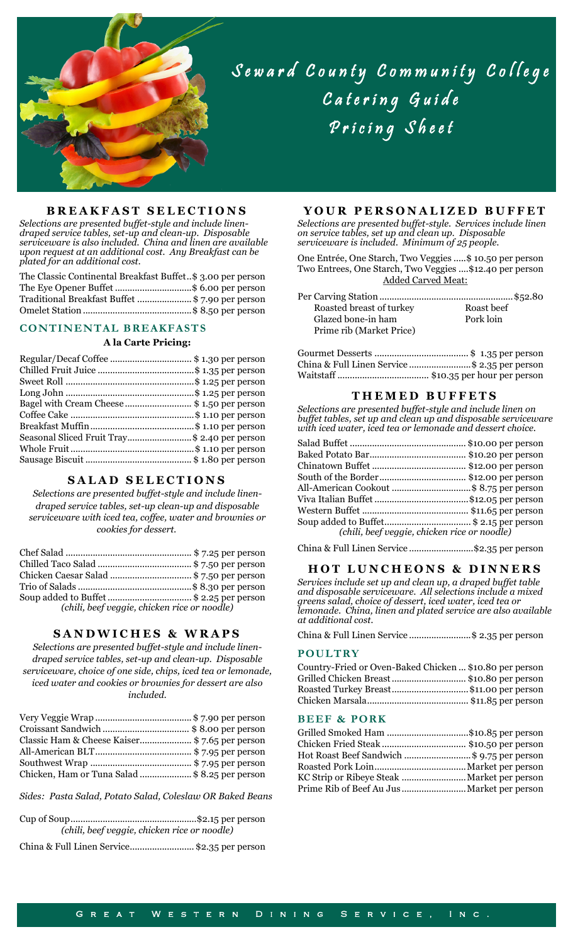

# Seward County Community College Catering Guide Pricing Sheet

## **B R E A K F A S T S E L E C T I O N S**

*Selections are presented buffet-style and include linendraped service tables, set-up and clean-up. Disposable serviceware is also included. China and linen are available upon request at an additional cost. Any Breakfast can be plated for an additional cost.*

The Classic Continental Breakfast Buffet*..*\$ 3.00 per person The Eye Opener Buffet ...............................\$ 6.00 per person Traditional Breakfast Buffet ......................\$ 7.90 per person Omelet Station............................................\$ 8.50 per person

#### **CONTINENTAL BREAKFASTS**

#### **A la Carte Pricing:**

| Bagel with Cream Cheese  \$1.50 per person   |  |
|----------------------------------------------|--|
|                                              |  |
|                                              |  |
| Seasonal Sliced Fruit Tray\$ 2.40 per person |  |
|                                              |  |
|                                              |  |
|                                              |  |

#### **S A L A D S E L E C T I O N S**

*Selections are presented buffet-style and include linendraped service tables, set-up clean-up and disposable serviceware with iced tea, coffee, water and brownies or cookies for dessert.*

| Chicken Caesar Salad \$ 7.50 per person      |  |
|----------------------------------------------|--|
|                                              |  |
| Soup added to Buffet\$ 2.25 per person       |  |
| (chili, beef veggie, chicken rice or noodle) |  |

#### **S A N D W I C H E S & W R A P S**

*Selections are presented buffet-style and include linendraped service tables, set-up and clean-up. Disposable serviceware, choice of one side, chips, iced tea or lemonade, iced water and cookies or brownies for dessert are also included.*

| Classic Ham & Cheese Kaiser\$7.65 per person   |  |
|------------------------------------------------|--|
|                                                |  |
|                                                |  |
| Chicken, Ham or Tuna Salad  \$ 8.25 per person |  |

*Sides: Pasta Salad, Potato Salad, Coleslaw OR Baked Beans*

| (chili, beef veggie, chicken rice or noodle) |
|----------------------------------------------|
|                                              |

China & Full Linen Service..........................\$2.35 per person

# **Y O U R P E R S O N A L I Z E D B U F F E T**

*Selections are presented buffet-style. Services include linen on service tables, set up and clean up. Disposable serviceware is included. Minimum of 25 people.*

One Entrée, One Starch, Two Veggies .....\$ 10.50 per person Two Entrees, One Starch, Two Veggies ....\$12.40 per person Added Carved Meat:

| Roasted breast of turkey | Roast beef |
|--------------------------|------------|
| Glazed bone-in ham       | Pork loin  |
| Prime rib (Market Price) |            |

| China & Full Linen Service \$ 2.35 per person |  |
|-----------------------------------------------|--|
|                                               |  |

# **T H E M E D B U F F E T S**

*Selections are presented buffet-style and include linen on buffet tables, set up and clean up and disposable serviceware with iced water, iced tea or lemonade and dessert choice.*

| All-American Cookout \$ 8.75 per person      |
|----------------------------------------------|
|                                              |
|                                              |
|                                              |
| (chili, beef veggie, chicken rice or noodle) |
|                                              |

China & Full Linen Service ..........................\$2.35 per person

#### **HOT LUNCHEONS & DINNERS**

*Services include set up and clean up, a draped buffet table and disposable serviceware. All selections include a mixed greens salad, choice of dessert, iced water, iced tea or lemonade. China, linen and plated service are also available at additional cost.*

China & Full Linen Service .........................\$ 2.35 per person

# **POULTRY**

| Country-Fried or Oven-Baked Chicken  \$10.80 per person |  |
|---------------------------------------------------------|--|
| Grilled Chicken Breast  \$10.80 per person              |  |
| Roasted Turkey Breast\$11.00 per person                 |  |
|                                                         |  |

# **BEEF & PORK**

| Grilled Smoked Ham \$10.85 per person      |  |
|--------------------------------------------|--|
|                                            |  |
| Hot Roast Beef Sandwich \$ 9.75 per person |  |
|                                            |  |
|                                            |  |
|                                            |  |